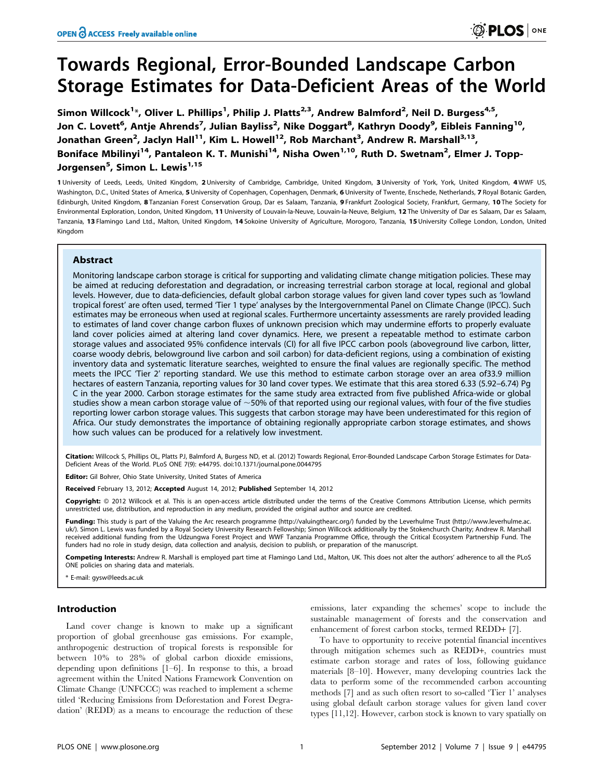Simon Willcock<sup>1\*</sup>, Oliver L. Phillips<sup>1</sup>, Philip J. Platts<sup>2,3</sup>, Andrew Balmford<sup>2</sup>, Neil D. Burgess<sup>4,5</sup>, Jon C. Lovett<sup>6</sup>, Antje Ahrends<sup>7</sup>, Julian Bayliss<sup>2</sup>, Nike Doggart<sup>8</sup>, Kathryn Doody<sup>9</sup>, Eibleis Fanning<sup>10</sup>, Jonathan Green<sup>2</sup>, Jaclyn Hall<sup>11</sup>, Kim L. Howell<sup>12</sup>, Rob Marchant<sup>3</sup>, Andrew R. Marshall<sup>3,13</sup>, Boniface Mbilinyi<sup>14</sup>, Pantaleon K. T. Munishi<sup>14</sup>, Nisha Owen<sup>1,10</sup>, Ruth D. Swetnam<sup>2</sup>, Elmer J. Topp-Jorgensen<sup>5</sup>, Simon L. Lewis<sup>1,15</sup>

1 University of Leeds, Leeds, United Kingdom, 2 University of Cambridge, Cambridge, United Kingdom, 3 University of York, York, United Kingdom, 4 WWF US, Washington, D.C., United States of America, 5 University of Copenhagen, Copenhagen, Denmark, 6 University of Twente, Enschede, Netherlands, 7 Royal Botanic Garden, Edinburgh, United Kingdom, 8 Tanzanian Forest Conservation Group, Dar es Salaam, Tanzania, 9 Frankfurt Zoological Society, Frankfurt, Germany, 10 The Society for Environmental Exploration, London, United Kingdom, 11 University of Louvain-la-Neuve, Louvain-la-Neuve, Belgium, 12 The University of Dar es Salaam, Dar es Salaam, Tanzania, 13 Flamingo Land Ltd., Malton, United Kingdom, 14 Sokoine University of Agriculture, Morogoro, Tanzania, 15 University College London, London, United Kingdom

# Abstract

Monitoring landscape carbon storage is critical for supporting and validating climate change mitigation policies. These may be aimed at reducing deforestation and degradation, or increasing terrestrial carbon storage at local, regional and global levels. However, due to data-deficiencies, default global carbon storage values for given land cover types such as 'lowland tropical forest' are often used, termed 'Tier 1 type' analyses by the Intergovernmental Panel on Climate Change (IPCC). Such estimates may be erroneous when used at regional scales. Furthermore uncertainty assessments are rarely provided leading to estimates of land cover change carbon fluxes of unknown precision which may undermine efforts to properly evaluate land cover policies aimed at altering land cover dynamics. Here, we present a repeatable method to estimate carbon storage values and associated 95% confidence intervals (CI) for all five IPCC carbon pools (aboveground live carbon, litter, coarse woody debris, belowground live carbon and soil carbon) for data-deficient regions, using a combination of existing inventory data and systematic literature searches, weighted to ensure the final values are regionally specific. The method meets the IPCC 'Tier 2' reporting standard. We use this method to estimate carbon storage over an area of33.9 million hectares of eastern Tanzania, reporting values for 30 land cover types. We estimate that this area stored 6.33 (5.92–6.74) Pg C in the year 2000. Carbon storage estimates for the same study area extracted from five published Africa-wide or global studies show a mean carbon storage value of  $\sim$  50% of that reported using our regional values, with four of the five studies reporting lower carbon storage values. This suggests that carbon storage may have been underestimated for this region of Africa. Our study demonstrates the importance of obtaining regionally appropriate carbon storage estimates, and shows how such values can be produced for a relatively low investment.

Citation: Willcock S, Phillips OL, Platts PJ, Balmford A, Burgess ND, et al. (2012) Towards Regional, Error-Bounded Landscape Carbon Storage Estimates for Data-Deficient Areas of the World. PLoS ONE 7(9): e44795. doi:10.1371/journal.pone.0044795

**Editor:** Gil Bohrer, Ohio State University, United States of America

Received February 13, 2012; Accepted August 14, 2012; Published September 14, 2012

Copyright: © 2012 Willcock et al. This is an open-access article distributed under the terms of the Creative Commons Attribution License, which permits unrestricted use, distribution, and reproduction in any medium, provided the original author and source are credited.

Funding: This study is part of the Valuing the Arc research programme (http://valuingthearc.org/) funded by the Leverhulme Trust (http://www.leverhulme.ac. uk/). Simon L. Lewis was funded by a Royal Society University Research Fellowship; Simon Willcock additionally by the Stokenchurch Charity; Andrew R. Marshall received additional funding from the Udzungwa Forest Project and WWF Tanzania Programme Office, through the Critical Ecosystem Partnership Fund. The funders had no role in study design, data collection and analysis, decision to publish, or preparation of the manuscript.

Competing Interests: Andrew R. Marshall is employed part time at Flamingo Land Ltd., Malton, UK. This does not alter the authors' adherence to all the PLoS ONE policies on sharing data and materials.

\* E-mail: gysw@leeds.ac.uk

## Introduction

Land cover change is known to make up a significant proportion of global greenhouse gas emissions. For example, anthropogenic destruction of tropical forests is responsible for between 10% to 28% of global carbon dioxide emissions, depending upon definitions [1–6]. In response to this, a broad agreement within the United Nations Framework Convention on Climate Change (UNFCCC) was reached to implement a scheme titled 'Reducing Emissions from Deforestation and Forest Degradation' (REDD) as a means to encourage the reduction of these

emissions, later expanding the schemes' scope to include the sustainable management of forests and the conservation and enhancement of forest carbon stocks, termed REDD+ [7].

To have to opportunity to receive potential financial incentives through mitigation schemes such as REDD+, countries must estimate carbon storage and rates of loss, following guidance materials [8–10]. However, many developing countries lack the data to perform some of the recommended carbon accounting methods [7] and as such often resort to so-called 'Tier 1' analyses using global default carbon storage values for given land cover types [11,12]. However, carbon stock is known to vary spatially on

**O PLOS** ONE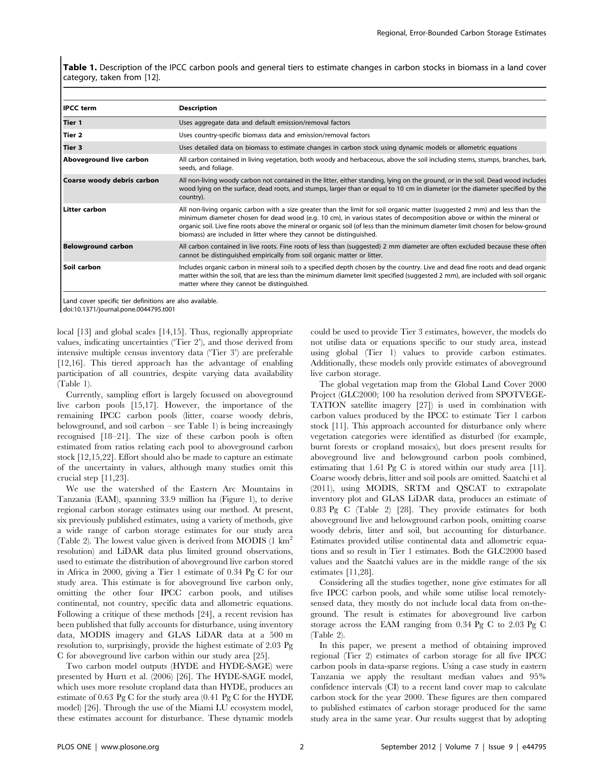Table 1. Description of the IPCC carbon pools and general tiers to estimate changes in carbon stocks in biomass in a land cover category, taken from [12].

| <b>IPCC</b> term           | <b>Description</b>                                                                                                                                                                                                                                                                                                                                                                                                                                              |
|----------------------------|-----------------------------------------------------------------------------------------------------------------------------------------------------------------------------------------------------------------------------------------------------------------------------------------------------------------------------------------------------------------------------------------------------------------------------------------------------------------|
| Tier 1                     | Uses aggregate data and default emission/removal factors                                                                                                                                                                                                                                                                                                                                                                                                        |
| Tier 2                     | Uses country-specific biomass data and emission/removal factors                                                                                                                                                                                                                                                                                                                                                                                                 |
| Tier 3                     | Uses detailed data on biomass to estimate changes in carbon stock using dynamic models or allometric equations                                                                                                                                                                                                                                                                                                                                                  |
| Aboveground live carbon    | All carbon contained in living vegetation, both woody and herbaceous, above the soil including stems, stumps, branches, bark,<br>seeds, and foliage.                                                                                                                                                                                                                                                                                                            |
| Coarse woody debris carbon | All non-living woody carbon not contained in the litter, either standing, lying on the ground, or in the soil. Dead wood includes<br>wood lying on the surface, dead roots, and stumps, larger than or equal to 10 cm in diameter (or the diameter specified by the<br>country).                                                                                                                                                                                |
| <b>Litter carbon</b>       | All non-living organic carbon with a size greater than the limit for soil organic matter (suggested 2 mm) and less than the<br>minimum diameter chosen for dead wood (e.g. 10 cm), in various states of decomposition above or within the mineral or<br>organic soil. Live fine roots above the mineral or organic soil (of less than the minimum diameter limit chosen for below-ground<br>biomass) are included in litter where they cannot be distinguished. |
| <b>Belowground carbon</b>  | All carbon contained in live roots. Fine roots of less than (suggested) 2 mm diameter are often excluded because these often<br>cannot be distinguished empirically from soil organic matter or litter.                                                                                                                                                                                                                                                         |
| Soil carbon                | Includes organic carbon in mineral soils to a specified depth chosen by the country. Live and dead fine roots and dead organic<br>matter within the soil, that are less than the minimum diameter limit specified (suggested 2 mm), are included with soil organic<br>matter where they cannot be distinguished.                                                                                                                                                |
|                            |                                                                                                                                                                                                                                                                                                                                                                                                                                                                 |

Land cover specific tier definitions are also available.

doi:10.1371/journal.pone.0044795.t001

local [13] and global scales [14,15]. Thus, regionally appropriate values, indicating uncertainties ('Tier 2'), and those derived from intensive multiple census inventory data ('Tier 3') are preferable [12,16]. This tiered approach has the advantage of enabling participation of all countries, despite varying data availability (Table 1).

Currently, sampling effort is largely focussed on aboveground live carbon pools [15,17]. However, the importance of the remaining IPCC carbon pools (litter, coarse woody debris, belowground, and soil carbon – see Table 1) is being increasingly recognised [18–21]. The size of these carbon pools is often estimated from ratios relating each pool to aboveground carbon stock [12,15,22]. Effort should also be made to capture an estimate of the uncertainty in values, although many studies omit this crucial step [11,23].

We use the watershed of the Eastern Arc Mountains in Tanzania (EAM), spanning 33.9 million ha (Figure 1), to derive regional carbon storage estimates using our method. At present, six previously published estimates, using a variety of methods, give a wide range of carbon storage estimates for our study area (Table 2). The lowest value given is derived from MODIS  $(1 \text{ km}^2)$ resolution) and LiDAR data plus limited ground observations, used to estimate the distribution of aboveground live carbon stored in Africa in 2000, giving a Tier 1 estimate of 0.34 Pg C for our study area. This estimate is for aboveground live carbon only, omitting the other four IPCC carbon pools, and utilises continental, not country, specific data and allometric equations. Following a critique of these methods [24], a recent revision has been published that fully accounts for disturbance, using inventory data, MODIS imagery and GLAS LiDAR data at a 500 m resolution to, surprisingly, provide the highest estimate of 2.03 Pg C for aboveground live carbon within our study area [25].

Two carbon model outputs (HYDE and HYDE-SAGE) were presented by Hurtt et al. (2006) [26]. The HYDE-SAGE model, which uses more resolute cropland data than HYDE, produces an estimate of 0.63 Pg C for the study area (0.41 Pg C for the HYDE model) [26]. Through the use of the Miami LU ecosystem model, these estimates account for disturbance. These dynamic models could be used to provide Tier 3 estimates, however, the models do not utilise data or equations specific to our study area, instead using global (Tier 1) values to provide carbon estimates. Additionally, these models only provide estimates of aboveground live carbon storage.

The global vegetation map from the Global Land Cover 2000 Project (GLC2000; 100 ha resolution derived from SPOTVEGE-TATION satellite imagery [27]) is used in combination with carbon values produced by the IPCC to estimate Tier 1 carbon stock [11]. This approach accounted for disturbance only where vegetation categories were identified as disturbed (for example, burnt forests or cropland mosaics), but does present results for aboveground live and belowground carbon pools combined, estimating that 1.61 Pg C is stored within our study area [11]. Coarse woody debris, litter and soil pools are omitted. Saatchi et al (2011), using MODIS, SRTM and QSCAT to extrapolate inventory plot and GLAS LiDAR data, produces an estimate of 0.83 Pg C (Table 2) [28]. They provide estimates for both aboveground live and belowground carbon pools, omitting coarse woody debris, litter and soil, but accounting for disturbance. Estimates provided utilise continental data and allometric equations and so result in Tier 1 estimates. Both the GLC2000 based values and the Saatchi values are in the middle range of the six estimates [11,28].

Considering all the studies together, none give estimates for all five IPCC carbon pools, and while some utilise local remotelysensed data, they mostly do not include local data from on-theground. The result is estimates for aboveground live carbon storage across the EAM ranging from 0.34 Pg C to 2.03 Pg C (Table 2).

In this paper, we present a method of obtaining improved regional (Tier 2) estimates of carbon storage for all five IPCC carbon pools in data-sparse regions. Using a case study in eastern Tanzania we apply the resultant median values and 95% confidence intervals (CI) to a recent land cover map to calculate carbon stock for the year 2000. These figures are then compared to published estimates of carbon storage produced for the same study area in the same year. Our results suggest that by adopting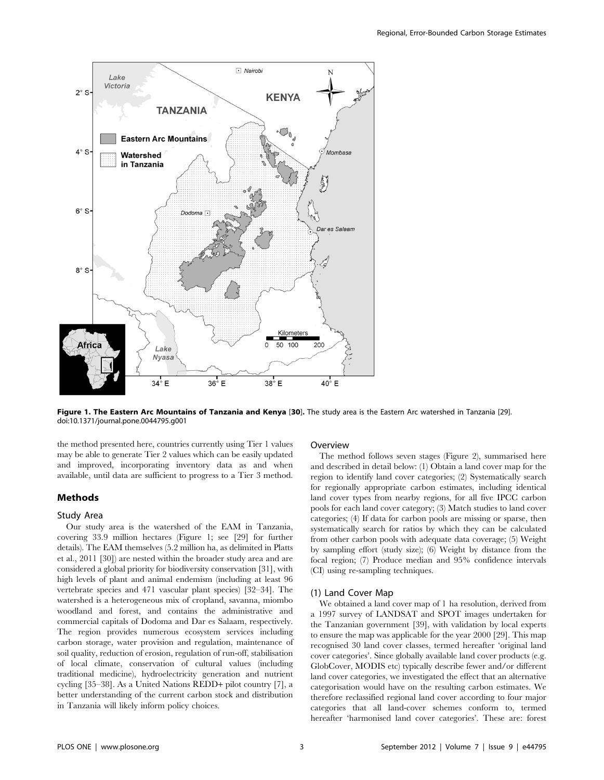

Figure 1. The Eastern Arc Mountains of Tanzania and Kenya [30]. The study area is the Eastern Arc watershed in Tanzania [29]. doi:10.1371/journal.pone.0044795.g001

the method presented here, countries currently using Tier 1 values may be able to generate Tier 2 values which can be easily updated and improved, incorporating inventory data as and when available, until data are sufficient to progress to a Tier 3 method.

## Methods

### Study Area

Our study area is the watershed of the EAM in Tanzania, covering 33.9 million hectares (Figure 1; see [29] for further details). The EAM themselves (5.2 million ha, as delimited in Platts et al., 2011 [30]) are nested within the broader study area and are considered a global priority for biodiversity conservation [31], with high levels of plant and animal endemism (including at least 96 vertebrate species and 471 vascular plant species) [32–34]. The watershed is a heterogeneous mix of cropland, savanna, miombo woodland and forest, and contains the administrative and commercial capitals of Dodoma and Dar es Salaam, respectively. The region provides numerous ecosystem services including carbon storage, water provision and regulation, maintenance of soil quality, reduction of erosion, regulation of run-off, stabilisation of local climate, conservation of cultural values (including traditional medicine), hydroelectricity generation and nutrient cycling [35–38]. As a United Nations REDD+ pilot country [7], a better understanding of the current carbon stock and distribution in Tanzania will likely inform policy choices.

## Overview

The method follows seven stages (Figure 2), summarised here and described in detail below: (1) Obtain a land cover map for the region to identify land cover categories; (2) Systematically search for regionally appropriate carbon estimates, including identical land cover types from nearby regions, for all five IPCC carbon pools for each land cover category; (3) Match studies to land cover categories; (4) If data for carbon pools are missing or sparse, then systematically search for ratios by which they can be calculated from other carbon pools with adequate data coverage; (5) Weight by sampling effort (study size); (6) Weight by distance from the focal region; (7) Produce median and 95% confidence intervals (CI) using re-sampling techniques.

### (1) Land Cover Map

We obtained a land cover map of 1 ha resolution, derived from a 1997 survey of LANDSAT and SPOT images undertaken for the Tanzanian government [39], with validation by local experts to ensure the map was applicable for the year 2000 [29]. This map recognised 30 land cover classes, termed hereafter 'original land cover categories'. Since globally available land cover products (e.g. GlobCover, MODIS etc) typically describe fewer and/or different land cover categories, we investigated the effect that an alternative categorisation would have on the resulting carbon estimates. We therefore reclassified regional land cover according to four major categories that all land-cover schemes conform to, termed hereafter 'harmonised land cover categories'. These are: forest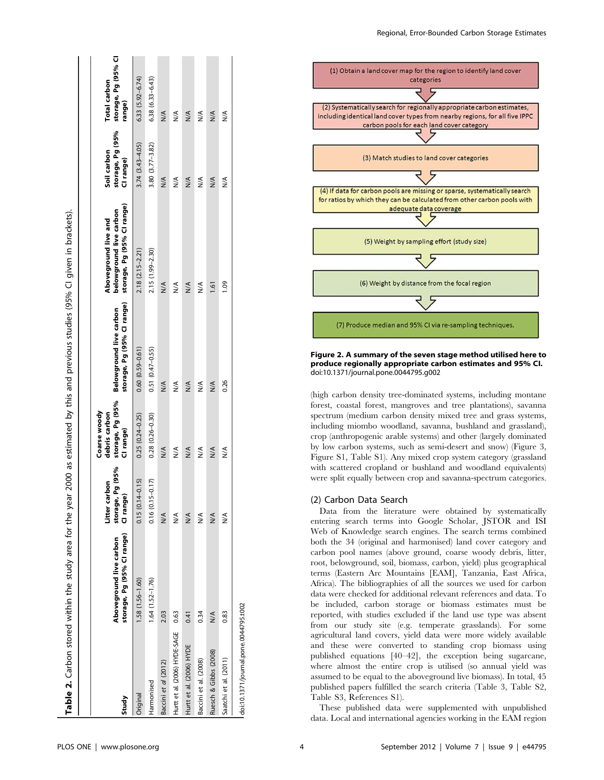| Study                                 | storage, Pg (95% CI range)<br>Aboveground live carbon | storage, Pg (95%<br>Litter carbon<br>CI range) | storage, Pg (95%<br>Coarse woody<br>debris carbon<br>CI range) | storage, Pg (95% CI range)<br>Belowground live carbon | storage, Pg (95% Cl range)<br>belowground live carbon<br>Aboveground live and | storage, Pg (95%<br>Soil carbon<br>CI range) | storage, Pg (95% CI<br>Total carbon<br>range) |
|---------------------------------------|-------------------------------------------------------|------------------------------------------------|----------------------------------------------------------------|-------------------------------------------------------|-------------------------------------------------------------------------------|----------------------------------------------|-----------------------------------------------|
| Original                              | 1.58 (1.56-1.60)                                      | $0.15(0.14 - 0.15)$                            | $0.25(0.24 - 0.25)$                                            | $0.60(0.59 - 0.61)$                                   | $2.18(2.15 - 2.21)$                                                           | 3.74 (3.43-4.05)                             | $6.33(5.92 - 6.74)$                           |
| Harmonised                            | $1.64(1.52 - 1.76)$                                   | $0.16(0.15 - 0.17)$                            | $0.28(0.26 - 0.30)$                                            | $0.51(0.47 - 0.55)$                                   | 2.15 (1.99-2.30)                                                              | $3.80(3.77 - 3.82)$                          | $6.38(6.33 - 6.43)$                           |
| Baccini et al (2012)                  | 2.03                                                  | $\frac{4}{2}$                                  | $\frac{4}{2}$                                                  | $\frac{4}{2}$                                         | $\frac{4}{2}$                                                                 | $\leq$                                       | $\leq$                                        |
| Hurtt et al. (2006) HYDE-SAGE         | 0.63                                                  | ≸                                              | ≶                                                              | $\frac{4}{2}$                                         | ≸                                                                             | $\frac{4}{2}$                                | ≸                                             |
| Hurtt et al. (2006) HYDE              | 0.41                                                  | ≸                                              | $\frac{4}{2}$                                                  | $\frac{4}{2}$                                         | $\frac{4}{2}$                                                                 | $\frac{4}{2}$                                | $\leq$                                        |
| Baccini et al. (2008)                 | 0.34                                                  | ⋚                                              | $\frac{1}{2}$                                                  | ⋚                                                     | ⋚                                                                             | ⋚                                            | ⋚                                             |
| Ruesch & Gibbs (2008)                 | $\frac{1}{2}$                                         | $\frac{1}{2}$                                  | $\frac{4}{2}$                                                  | $\frac{4}{2}$                                         | $-1.61$                                                                       | $\frac{4}{\sqrt{2}}$                         | $\frac{1}{2}$                                 |
| Saatchi et al. (2011)                 | 0.83                                                  | ⋚                                              | $\stackrel{\triangle}{\geq}$                                   | 0.26                                                  | <b>PO1</b>                                                                    | ⋚                                            | ≸                                             |
| doi:10.1371/journal.pone.0044795.t002 |                                                       |                                                |                                                                |                                                       |                                                                               |                                              |                                               |



Figure 2. A summary of the seven stage method utilised here to produce regionally appropriate carbon estimates and 95% CI. doi:10.1371/journal.pone.0044795.g002

(high carbon density tree-dominated systems, including montane forest, coastal forest, mangroves and tree plantations), savanna spectrum (medium carbon density mixed tree and grass systems, including miombo woodland, savanna, bushland and grassland), crop (anthropogenic arable systems) and other (largely dominated by low carbon systems, such as semi-desert and snow) (Figure 3, Figure S1, Table S1). Any mixed crop system category (grassland with scattered cropland or bushland and woodland equivalents) were split equally between crop and savanna-spectrum categories.

## (2) Carbon Data Search

Data from the literature were obtained by systematically entering search terms into Google Scholar, JSTOR and ISI Web of Knowledge search engines. The search terms combined both the 34 (original and harmonised) land cover category and carbon pool names (above ground, coarse woody debris, litter, root, belowground, soil, biomass, carbon, yield) plus geographical terms (Eastern Arc Mountains [EAM], Tanzania, East Africa, Africa). The bibliographies of all the sources we used for carbon data were checked for additional relevant references and data. To be included, carbon storage or biomass estimates must be reported, with studies excluded if the land use type was absent from our study site (e.g. temperate grasslands). For some agricultural land covers, yield data were more widely available and these were converted to standing crop biomass using published equations [40–42], the exception being sugarcane, where almost the entire crop is utilised (so annual yield was assumed to be equal to the aboveground live biomass). In total, 45 published papers fulfilled the search criteria (Table 3, Table S2, Table S3, References S1).

These published data were supplemented with unpublished data. Local and international agencies working in the EAM region

Table 2. Carbon stored within the study area for the year 2000 as estimated by this and previous studies (95% CI given in brackets).

Table 2. Carbon stored within the study area for the year 2000 as estimated by this and previous studies (95% CI given in brackets).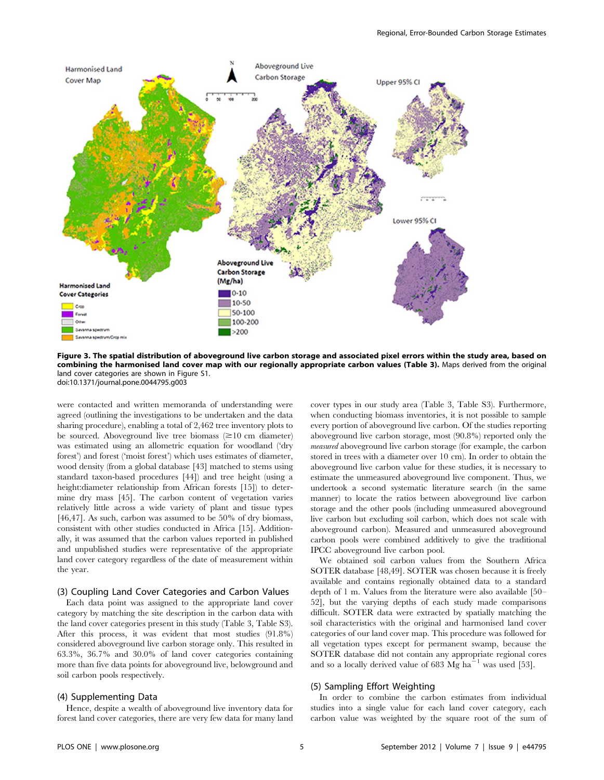

Figure 3. The spatial distribution of aboveground live carbon storage and associated pixel errors within the study area, based on combining the harmonised land cover map with our regionally appropriate carbon values (Table 3). Maps derived from the original land cover categories are shown in Figure S1. doi:10.1371/journal.pone.0044795.g003

were contacted and written memoranda of understanding were agreed (outlining the investigations to be undertaken and the data sharing procedure), enabling a total of 2,462 tree inventory plots to be sourced. Above ground live tree biomass  $(\geq 10 \text{ cm diameter})$ was estimated using an allometric equation for woodland ('dry forest') and forest ('moist forest') which uses estimates of diameter, wood density (from a global database [43] matched to stems using standard taxon-based procedures [44]) and tree height (using a height:diameter relationship from African forests [15]) to determine dry mass [45]. The carbon content of vegetation varies relatively little across a wide variety of plant and tissue types [46,47]. As such, carbon was assumed to be 50% of dry biomass, consistent with other studies conducted in Africa [15]. Additionally, it was assumed that the carbon values reported in published and unpublished studies were representative of the appropriate land cover category regardless of the date of measurement within the year.

### (3) Coupling Land Cover Categories and Carbon Values

Each data point was assigned to the appropriate land cover category by matching the site description in the carbon data with the land cover categories present in this study (Table 3, Table S3). After this process, it was evident that most studies (91.8%) considered aboveground live carbon storage only. This resulted in 63.3%, 36.7% and 30.0% of land cover categories containing more than five data points for aboveground live, belowground and soil carbon pools respectively.

#### (4) Supplementing Data

Hence, despite a wealth of aboveground live inventory data for forest land cover categories, there are very few data for many land cover types in our study area (Table 3, Table S3). Furthermore, when conducting biomass inventories, it is not possible to sample every portion of aboveground live carbon. Of the studies reporting aboveground live carbon storage, most (90.8%) reported only the measured aboveground live carbon storage (for example, the carbon stored in trees with a diameter over 10 cm). In order to obtain the aboveground live carbon value for these studies, it is necessary to estimate the unmeasured aboveground live component. Thus, we undertook a second systematic literature search (in the same manner) to locate the ratios between aboveground live carbon storage and the other pools (including unmeasured aboveground live carbon but excluding soil carbon, which does not scale with aboveground carbon). Measured and unmeasured aboveground carbon pools were combined additively to give the traditional IPCC aboveground live carbon pool.

We obtained soil carbon values from the Southern Africa SOTER database [48,49]. SOTER was chosen because it is freely available and contains regionally obtained data to a standard depth of 1 m. Values from the literature were also available [50– 52], but the varying depths of each study made comparisons difficult. SOTER data were extracted by spatially matching the soil characteristics with the original and harmonised land cover categories of our land cover map. This procedure was followed for all vegetation types except for permanent swamp, because the SOTER database did not contain any appropriate regional cores and so a locally derived value of 683  $\overrightarrow{Mg}$  ha<sup>21</sup> was used [53].

#### (5) Sampling Effort Weighting

In order to combine the carbon estimates from individual studies into a single value for each land cover category, each carbon value was weighted by the square root of the sum of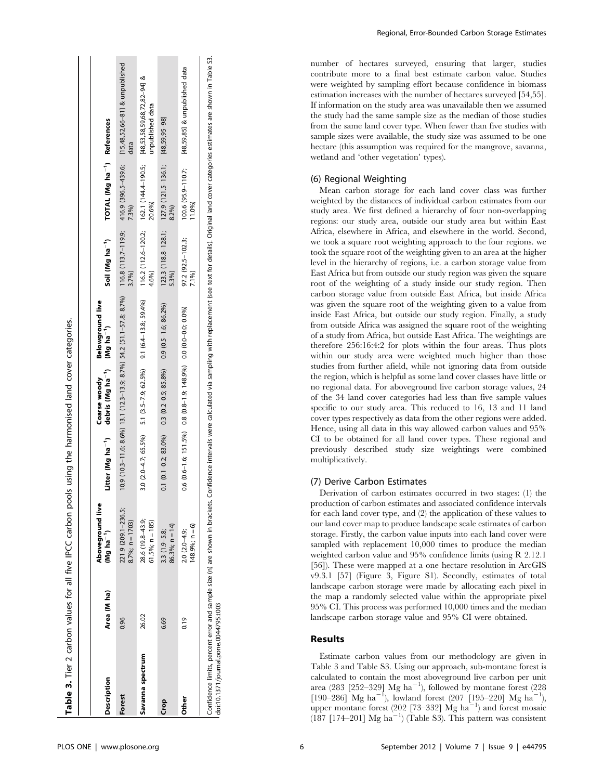| 123.3 (118.8-128.1; 127.9 (121.5-136.1; [48,59,95-98]<br>$116.2$ (112.6-120.2; 162.1 (144.4-190.5;<br>20.6%)<br>8.2%)<br>7.3%)<br>$10.9$ $(10.3 - 11.6; 8.6\%)$ $13.1$ $(12.3 - 13.9; 8.7\%)$ $54.2$ $(51.1 - 57.8; 8.7\%)$ $116.8$ $(113.7 - 119.9; 116.8)$<br>97.2 (92.5-102.3;<br>4.6%)<br>3.7%)<br>5.3%)<br>3.0 (2.0-4.7; 65.5%) 5.1 (3.5-7.9; 62.5%) 9.1 (6.4-13.8; 59.4%)<br>$0.1$ $(0.1 - 0.2; 83.0\%)$ $0.3$ $(0.2 - 0.5; 85.8\%)$ $0.9$ $(0.5 - 1.6; 86.2\%)$<br>$0.6$ $(0.6-1.6; 151.5\%)$ $0.8$ $(0.8-1.9; 148.9\%)$ $0.0$ $(0.0-0.0; 0.0\%)$<br>221.9 (209.1-236.5;<br>28.6 (19.8-43.9;<br>$8.7\%$ ; n = 1703)<br>$61.5\%$ ; n = 185)<br>86.3%; $n = 14$ )<br>$3.3(1.9 - 5.8)$<br>$2.0(2.0-4.9)$<br>26.02<br>0.19<br>6.69<br>0.96<br>Savanna spectrum<br>Forest<br><b>Other</b><br>Crop | Description | Area (M ha) | Aboveground live<br>$(Mg \ ha^{-1})$ | Litter (Mg ha <sup>-1</sup> ) debris (Mg ha <sup>-1</sup> ) (Mg ha <sup>-1</sup> )<br>Coarse woody | Belowground live | Soil (Mg ha <sup>-1</sup> ) | TOTAL (Mg ha <sup>-1</sup> ) References |                                                            |
|-----------------------------------------------------------------------------------------------------------------------------------------------------------------------------------------------------------------------------------------------------------------------------------------------------------------------------------------------------------------------------------------------------------------------------------------------------------------------------------------------------------------------------------------------------------------------------------------------------------------------------------------------------------------------------------------------------------------------------------------------------------------------------------------------------|-------------|-------------|--------------------------------------|----------------------------------------------------------------------------------------------------|------------------|-----------------------------|-----------------------------------------|------------------------------------------------------------|
|                                                                                                                                                                                                                                                                                                                                                                                                                                                                                                                                                                                                                                                                                                                                                                                                     |             |             |                                      |                                                                                                    |                  |                             |                                         | 416.9 (396.5-439.6; [15,48,52,66-81] & unpublished<br>data |
|                                                                                                                                                                                                                                                                                                                                                                                                                                                                                                                                                                                                                                                                                                                                                                                                     |             |             |                                      |                                                                                                    |                  |                             |                                         | [48,53,58,59,68,72,82-94] &<br>unpublished data            |
|                                                                                                                                                                                                                                                                                                                                                                                                                                                                                                                                                                                                                                                                                                                                                                                                     |             |             |                                      |                                                                                                    |                  |                             |                                         |                                                            |
| 1.0%<br>7.1%)<br>$148.9%; n = 6$                                                                                                                                                                                                                                                                                                                                                                                                                                                                                                                                                                                                                                                                                                                                                                    |             |             |                                      |                                                                                                    |                  |                             | 100.6 (95.9-110.7;                      | [48,59,85] & unpublished data                              |

Confidence limits, percent error and sample size (n) are shown in brackets. Confidence intervals were calculated via sampling with replacement (see text for details). Original land cover categories estimates are shown in T doi:10.1371/journal.pone.0044795.t003 doi:10.1371/journal.pone.0044795.t003

number of hectares surveyed, ensuring that larger, studies contribute more to a final best estimate carbon value. Studies were weighted by sampling effort because confidence in biomass estimation increases with the number of hectares surveyed [54,55]. If information on the study area was unavailable then we assumed the study had the same sample size as the median of those studies from the same land cover type. When fewer than five studies with sample sizes were available, the study size was assumed to be one hectare (this assumption was required for the mangrove, savanna, wetland and 'other vegetation' types).

# (6) Regional Weighting

Mean carbon storage for each land cover class was further weighted by the distances of individual carbon estimates from our study area. We first defined a hierarchy of four non-overlapping regions: our study area, outside our study area but within East Africa, elsewhere in Africa, and elsewhere in the world. Second, we took a square root weighting approach to the four regions. we took the square root of the weighting given to an area at the higher level in the hierarchy of regions, i.e. a carbon storage value from East Africa but from outside our study region was given the square root of the weighting of a study inside our study region. Then carbon storage value from outside East Africa, but inside Africa was given the square root of the weighting given to a value from inside East Africa, but outside our study region. Finally, a study from outside Africa was assigned the square root of the weighting of a study from Africa, but outside East Africa. The weightings are therefore 256:16:4:2 for plots within the four areas. Thus plots within our study area were weighted much higher than those studies from further afield, while not ignoring data from outside the region, which is helpful as some land cover classes have little or no regional data. For aboveground live carbon storage values, 24 of the 34 land cover categories had less than five sample values specific to our study area. This reduced to 16, 13 and 11 land cover types respectively as data from the other regions were added. Hence, using all data in this way allowed carbon values and 95% CI to be obtained for all land cover types. These regional and previously described study size weightings were combined multiplicatively.

## (7) Derive Carbon Estimates

Derivation of carbon estimates occurred in two stages: (1) the production of carbon estimates and associated confidence intervals for each land cover type, and (2) the application of these values to our land cover map to produce landscape scale estimates of carbon storage. Firstly, the carbon value inputs into each land cover were sampled with replacement 10,000 times to produce the median weighted carbon value and 95% confidence limits (using R 2.12.1 [56]). These were mapped at a one hectare resolution in ArcGIS v9.3.1 [57] (Figure 3, Figure S1). Secondly, estimates of total landscape carbon storage were made by allocating each pixel in the map a randomly selected value within the appropriate pixel 95% CI. This process was performed 10,000 times and the median landscape carbon storage value and 95% CI were obtained.

# Results

Estimate carbon values from our methodology are given in Table 3 and Table S3. Using our approach, sub-montane forest is calculated to contain the most aboveground live carbon per unit area (283 [252-329]  $Mg$  ha<sup>-1</sup>), followed by montane forest (228  $[190-286]$  Mg ha<sup>-1</sup>), lowland forest (207 [195-220] Mg ha<sup>-1</sup>), upper montane forest (202 [73-332]  $\rm{Mg~ha}^{-1}$ ) and forest mosaic  $(187 [174–201]$  Mg ha<sup> $-1$ </sup>) (Table S3). This pattern was consistent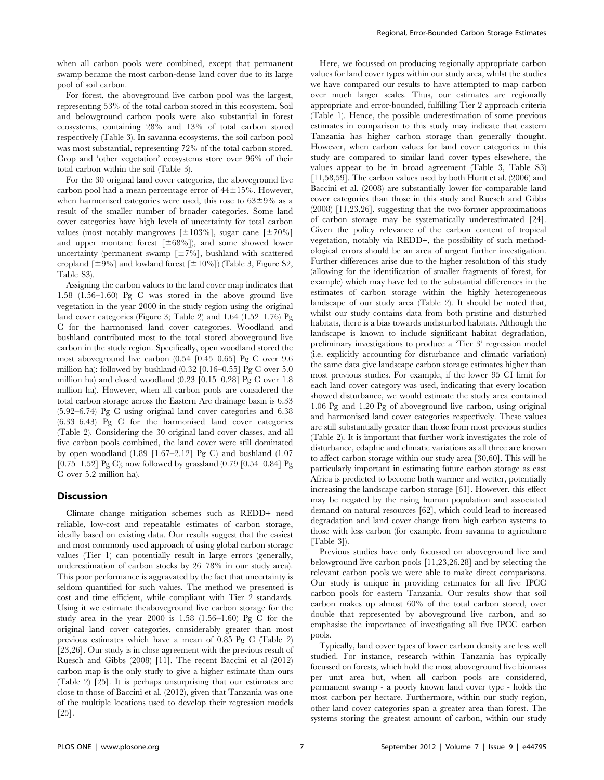when all carbon pools were combined, except that permanent swamp became the most carbon-dense land cover due to its large pool of soil carbon.

For forest, the aboveground live carbon pool was the largest, representing 53% of the total carbon stored in this ecosystem. Soil and belowground carbon pools were also substantial in forest ecosystems, containing 28% and 13% of total carbon stored respectively (Table 3). In savanna ecosystems, the soil carbon pool was most substantial, representing 72% of the total carbon stored. Crop and 'other vegetation' ecosystems store over 96% of their total carbon within the soil (Table 3).

For the 30 original land cover categories, the aboveground live carbon pool had a mean percentage error of  $44\pm15$ %. However, when harmonised categories were used, this rose to  $63\pm9\%$  as a result of the smaller number of broader categories. Some land cover categories have high levels of uncertainty for total carbon values (most notably mangroves  $[\pm 103\%]$ , sugar cane  $[\pm 70\%]$ and upper montane forest  $[\pm 68\%]$ , and some showed lower uncertainty (permanent swamp  $[\pm 7\%]$ , bushland with scattered cropland  $[\pm 9\%]$  and lowland forest  $[\pm 10\%]$ ) (Table 3, Figure S2, Table S3).

Assigning the carbon values to the land cover map indicates that 1.58 (1.56–1.60) Pg C was stored in the above ground live vegetation in the year 2000 in the study region using the original land cover categories (Figure 3; Table 2) and 1.64 (1.52–1.76) Pg C for the harmonised land cover categories. Woodland and bushland contributed most to the total stored aboveground live carbon in the study region. Specifically, open woodland stored the most aboveground live carbon (0.54 [0.45–0.65] Pg C over 9.6 million ha); followed by bushland  $(0.32 \; [0.16-0.55]$  Pg C over  $5.0$ million ha) and closed woodland (0.23 [0.15–0.28] Pg C over 1.8 million ha). However, when all carbon pools are considered the total carbon storage across the Eastern Arc drainage basin is 6.33 (5.92–6.74) Pg C using original land cover categories and 6.38 (6.33–6.43) Pg C for the harmonised land cover categories (Table 2). Considering the 30 original land cover classes, and all five carbon pools combined, the land cover were still dominated by open woodland (1.89 [1.67–2.12] Pg C) and bushland (1.07  $[0.75-1.52]$  Pg C); now followed by grassland  $(0.79)$   $[0.54-0.84]$  Pg C over 5.2 million ha).

## **Discussion**

Climate change mitigation schemes such as REDD+ need reliable, low-cost and repeatable estimates of carbon storage, ideally based on existing data. Our results suggest that the easiest and most commonly used approach of using global carbon storage values (Tier 1) can potentially result in large errors (generally, underestimation of carbon stocks by 26–78% in our study area). This poor performance is aggravated by the fact that uncertainty is seldom quantified for such values. The method we presented is cost and time efficient, while compliant with Tier 2 standards. Using it we estimate theaboveground live carbon storage for the study area in the year  $2000$  is  $1.58$   $(1.56-1.60)$  Pg C for the original land cover categories, considerably greater than most previous estimates which have a mean of 0.85 Pg C (Table 2) [23,26]. Our study is in close agreement with the previous result of Ruesch and Gibbs (2008) [11]. The recent Baccini et al (2012) carbon map is the only study to give a higher estimate than ours (Table 2) [25]. It is perhaps unsurprising that our estimates are close to those of Baccini et al. (2012), given that Tanzania was one of the multiple locations used to develop their regression models [25].

Here, we focussed on producing regionally appropriate carbon values for land cover types within our study area, whilst the studies we have compared our results to have attempted to map carbon over much larger scales. Thus, our estimates are regionally appropriate and error-bounded, fulfilling Tier 2 approach criteria (Table 1). Hence, the possible underestimation of some previous estimates in comparison to this study may indicate that eastern Tanzania has higher carbon storage than generally thought. However, when carbon values for land cover categories in this study are compared to similar land cover types elsewhere, the values appear to be in broad agreement (Table 3, Table S3) [11,58,59]. The carbon values used by both Hurtt et al. (2006) and Baccini et al. (2008) are substantially lower for comparable land cover categories than those in this study and Ruesch and Gibbs (2008) [11,23,26], suggesting that the two former approximations of carbon storage may be systematically underestimated [24]. Given the policy relevance of the carbon content of tropical vegetation, notably via REDD+, the possibility of such methodological errors should be an area of urgent further investigation. Further differences arise due to the higher resolution of this study (allowing for the identification of smaller fragments of forest, for example) which may have led to the substantial differences in the estimates of carbon storage within the highly heterogeneous landscape of our study area (Table 2). It should be noted that, whilst our study contains data from both pristine and disturbed habitats, there is a bias towards undisturbed habitats. Although the landscape is known to include significant habitat degradation, preliminary investigations to produce a 'Tier 3' regression model (i.e. explicitly accounting for disturbance and climatic variation) the same data give landscape carbon storage estimates higher than most previous studies. For example, if the lower 95 CI limit for each land cover category was used, indicating that every location showed disturbance, we would estimate the study area contained 1.06 Pg and 1.20 Pg of aboveground live carbon, using original and harmonised land cover categories respectively. These values are still substantially greater than those from most previous studies (Table 2). It is important that further work investigates the role of disturbance, edaphic and climatic variations as all three are known to affect carbon storage within our study area [30,60]. This will be particularly important in estimating future carbon storage as east Africa is predicted to become both warmer and wetter, potentially increasing the landscape carbon storage [61]. However, this effect may be negated by the rising human population and associated demand on natural resources [62], which could lead to increased degradation and land cover change from high carbon systems to those with less carbon (for example, from savanna to agriculture [Table 3]).

Previous studies have only focussed on aboveground live and belowground live carbon pools [11,23,26,28] and by selecting the relevant carbon pools we were able to make direct comparisons. Our study is unique in providing estimates for all five IPCC carbon pools for eastern Tanzania. Our results show that soil carbon makes up almost 60% of the total carbon stored, over double that represented by aboveground live carbon, and so emphasise the importance of investigating all five IPCC carbon pools.

Typically, land cover types of lower carbon density are less well studied. For instance, research within Tanzania has typically focussed on forests, which hold the most aboveground live biomass per unit area but, when all carbon pools are considered, permanent swamp - a poorly known land cover type - holds the most carbon per hectare. Furthermore, within our study region, other land cover categories span a greater area than forest. The systems storing the greatest amount of carbon, within our study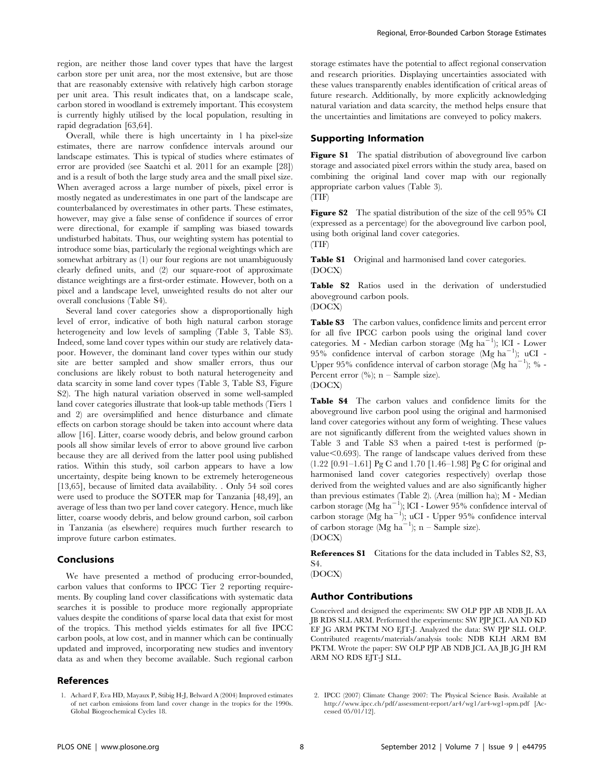region, are neither those land cover types that have the largest carbon store per unit area, nor the most extensive, but are those that are reasonably extensive with relatively high carbon storage per unit area. This result indicates that, on a landscape scale, carbon stored in woodland is extremely important. This ecosystem is currently highly utilised by the local population, resulting in rapid degradation [63,64].

Overall, while there is high uncertainty in 1 ha pixel-size estimates, there are narrow confidence intervals around our landscape estimates. This is typical of studies where estimates of error are provided (see Saatchi et al. 2011 for an example [28]) and is a result of both the large study area and the small pixel size. When averaged across a large number of pixels, pixel error is mostly negated as underestimates in one part of the landscape are counterbalanced by overestimates in other parts. These estimates, however, may give a false sense of confidence if sources of error were directional, for example if sampling was biased towards undisturbed habitats. Thus, our weighting system has potential to introduce some bias, particularly the regional weightings which are somewhat arbitrary as (1) our four regions are not unambiguously clearly defined units, and (2) our square-root of approximate distance weightings are a first-order estimate. However, both on a pixel and a landscape level, unweighted results do not alter our overall conclusions (Table S4).

Several land cover categories show a disproportionally high level of error, indicative of both high natural carbon storage heterogeneity and low levels of sampling (Table 3, Table S3). Indeed, some land cover types within our study are relatively datapoor. However, the dominant land cover types within our study site are better sampled and show smaller errors, thus our conclusions are likely robust to both natural heterogeneity and data scarcity in some land cover types (Table 3, Table S3, Figure S2). The high natural variation observed in some well-sampled land cover categories illustrate that look-up table methods (Tiers 1 and 2) are oversimplified and hence disturbance and climate effects on carbon storage should be taken into account where data allow [16]. Litter, coarse woody debris, and below ground carbon pools all show similar levels of error to above ground live carbon because they are all derived from the latter pool using published ratios. Within this study, soil carbon appears to have a low uncertainty, despite being known to be extremely heterogeneous [13,65], because of limited data availability. . Only 54 soil cores were used to produce the SOTER map for Tanzania [48,49], an average of less than two per land cover category. Hence, much like litter, coarse woody debris, and below ground carbon, soil carbon in Tanzania (as elsewhere) requires much further research to improve future carbon estimates.

### Conclusions

We have presented a method of producing error-bounded, carbon values that conforms to IPCC Tier 2 reporting requirements. By coupling land cover classifications with systematic data searches it is possible to produce more regionally appropriate values despite the conditions of sparse local data that exist for most of the tropics. This method yields estimates for all five IPCC carbon pools, at low cost, and in manner which can be continually updated and improved, incorporating new studies and inventory data as and when they become available. Such regional carbon

### References

storage estimates have the potential to affect regional conservation and research priorities. Displaying uncertainties associated with these values transparently enables identification of critical areas of future research. Additionally, by more explicitly acknowledging natural variation and data scarcity, the method helps ensure that the uncertainties and limitations are conveyed to policy makers.

## Supporting Information

Figure S1 The spatial distribution of above ground live carbon storage and associated pixel errors within the study area, based on combining the original land cover map with our regionally appropriate carbon values (Table 3). (TIF)

Figure S2 The spatial distribution of the size of the cell 95% CI (expressed as a percentage) for the aboveground live carbon pool, using both original land cover categories. (TIF)

Table S1 Original and harmonised land cover categories. (DOCX)

Table S2 Ratios used in the derivation of understudied aboveground carbon pools. (DOCX)

Table S3 The carbon values, confidence limits and percent error for all five IPCC carbon pools using the original land cover categories. M - Median carbon storage (Mg  $ha^{-1}$ ); ICI - Lower  $95\%$  confidence interval of carbon storage (Mg ha<sup>-1</sup>); uCI -Upper 95% confidence interval of carbon storage (Mg  $ha^{-1}$ ); % -Percent error  $(\%); n -$  Sample size). (DOCX)

Table S4 The carbon values and confidence limits for the aboveground live carbon pool using the original and harmonised land cover categories without any form of weighting. These values are not significantly different from the weighted values shown in Table 3 and Table S3 when a paired t-test is performed (pvalue $<$ 0.693). The range of landscape values derived from these (1.22 [0.91–1.61] Pg C and 1.70 [1.46–1.98] Pg C for original and harmonised land cover categories respectively) overlap those derived from the weighted values and are also significantly higher than previous estimates (Table 2). (Area (million ha); M - Median carbon storage (Mg  $ha^{-1}$ ); ICI - Lower 95% confidence interval of carbon storage  $(Mg \text{ ha}^{-1})$ ; uCI - Upper 95% confidence interval of carbon storage  $(Mg \text{ ha}^{-1})$ ; n – Sample size). (DOCX)

References S1 Citations for the data included in Tables S2, S3, S4.

(DOCX)

## Author Contributions

Conceived and designed the experiments: SW OLP PJP AB NDB JL AA JB RDS SLL ARM. Performed the experiments: SW PJP JCL AA ND KD EF JG ARM PKTM NO EJT-J. Analyzed the data: SW PJP SLL OLP. Contributed reagents/materials/analysis tools: NDB KLH ARM BM PKTM. Wrote the paper: SW OLP PJP AB NDB JCL AA JB JG JH RM ARM NO RDS EJT-J SLL.

<sup>1.</sup> Achard F, Eva HD, Mayaux P, Stibig H-J, Belward A (2004) Improved estimates of net carbon emissions from land cover change in the tropics for the 1990s. Global Biogeochemical Cycles 18.

<sup>2.</sup> IPCC (2007) Climate Change 2007: The Physical Science Basis. Available at http://www.ipcc.ch/pdf/assessment-report/ar4/wg1/ar4-wg1-spm.pdf [Accessed 05/01/12].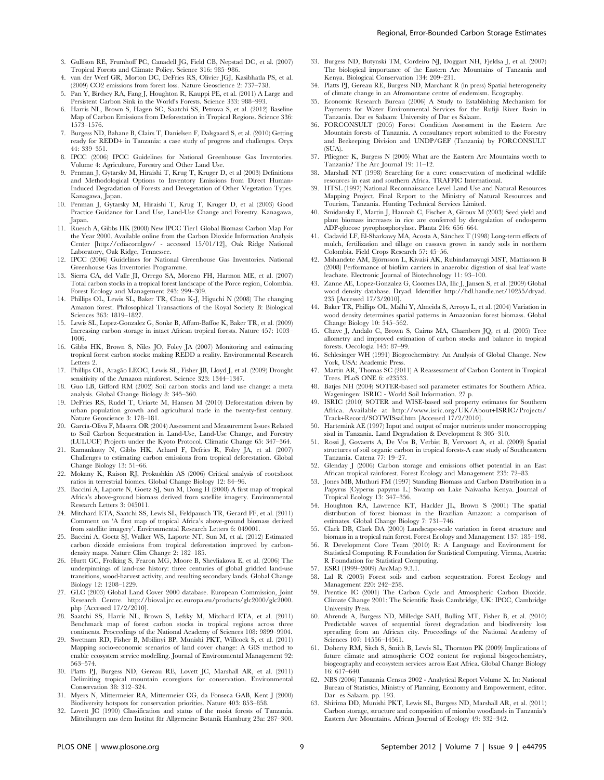- 3. Gullison RE, Frumhoff PC, Canadell JG, Field CB, Nepstad DC, et al. (2007) Tropical Forests and Climate Policy. Science 316: 985–986.
- 4. van der Werf GR, Morton DC, DeFries RS, Olivier JGJ, Kasibhatla PS, et al. (2009) CO2 emissions from forest loss. Nature Geoscience 2: 737–738.
- 5. Pan Y, Birdsey RA, Fang J, Houghton R, Kauppi PE, et al. (2011) A Large and Persistent Carbon Sink in the World's Forests. Science 333: 988–993.
- 6. Harris NL, Brown S, Hagen SC, Saatchi SS, Petrova S, et al. (2012) Baseline Map of Carbon Emissions from Deforestation in Tropical Regions. Science 336: 1573–1576.
- 7. Burgess ND, Bahane B, Clairs T, Danielsen F, Dalsgaard S, et al. (2010) Getting ready for REDD+ in Tanzania: a case study of progress and challenges. Oryx 44: 339–351.
- 8. IPCC (2006) IPCC Guidelines for National Greenhouse Gas Inventories. Volume 4: Agriculture, Forestry and Other Land Use.
- 9. Penman J, Gytarsky M, Hiraishi T, Krug T, Kruger D, et al (2003) Definitions and Methodological Options to Inventory Emissions from Direct Human-Induced Degradation of Forests and Devegetation of Other Vegetation Types. Kanagawa, Japan.
- 10. Penman J, Gytarsky M, Hiraishi T, Krug T, Kruger D, et al (2003) Good Practice Guidance for Land Use, Land-Use Change and Forestry. Kanagawa, Japan.
- 11. Ruesch A, Gibbs HK (2008) New IPCC Tier1 Global Biomass Carbon Map For the Year 2000. Available online from the Carbon Dioxide Information Analysis Center [http://cdiacornlgov/ - accessed 15/01/12], Oak Ridge National Laboratory, Oak Ridge, Tennessee.
- 12. IPCC (2006) Guidelines for National Greenhouse Gas Inventories. National Greenhouse Gas Inventories Programme.
- 13. Sierra CA, del Valle JI, Orrego SA, Moreno FH, Harmon ME, et al. (2007) Total carbon stocks in a tropical forest landscape of the Porce region, Colombia. Forest Ecology and Management 243: 299–309.
- 14. Phillips OL, Lewis SL, Baker TR, Chao K-J, Higuchi N (2008) The changing Amazon forest. Philosophical Transactions of the Royal Society B: Biological Sciences 363: 1819–1827.
- 15. Lewis SL, Lopez-Gonzalez G, Sonke B, Affum-Baffoe K, Baker TR, et al. (2009) Increasing carbon storage in intact African tropical forests. Nature 457: 1003– 1006.
- 16. Gibbs HK, Brown S, Niles JO, Foley JA (2007) Monitoring and estimating tropical forest carbon stocks: making REDD a reality. Environmental Research Letters 2.
- 17. Phillips OL, Aragão LEOC, Lewis SL, Fisher JB, Lloyd J, et al. (2009) Drought sensitivity of the Amazon rainforest. Science 323: 1344–1347.
- 18. Guo LB, Gifford RM (2002) Soil carbon stocks and land use change: a meta analysis. Global Change Biology 8: 345–360.
- 19. DeFries RS, Rudel T, Uriarte M, Hansen M (2010) Deforestation driven by urban population growth and agricultural trade in the twenty-first century. Nature Geoscience 3: 178–181.
- 20. García-Oliva F, Masera OR (2004) Assessment and Measurement Issues Related to Soil Carbon Sequestration in Land-Use, Land-Use Change, and Forestry (LULUCF) Projects under the Kyoto Protocol. Climatic Change 65: 347–364.
- 21. Ramankutty N, Gibbs HK, Achard F, Defries R, Foley JA, et al. (2007) Challenges to estimating carbon emissions from tropical deforestation. Global Change Biology 13: 51–66.
- 22. Mokany K, Raison RJ, Prokushkin AS (2006) Critical analysis of root:shoot ratios in terrestrial biomes. Global Change Biology 12: 84–96.
- 23. Baccini A, Laporte N, Goetz SJ, Sun M, Dong H (2008) A first map of tropical Africa's above-ground biomass derived from satellite imagery. Environmental Research Letters 3: 045011.
- 24. Mitchard ETA, Saatchi SS, Lewis SL, Feldpausch TR, Gerard FF, et al. (2011) Comment on 'A first map of tropical Africa's above-ground biomass derived from satellite imagery'. Environmental Research Letters 6: 049001.
- 25. Baccini A, Goetz SJ, Walker WS, Laporte NT, Sun M, et al. (2012) Estimated carbon dioxide emissions from tropical deforestation improved by carbondensity maps. Nature Clim Change 2: 182–185.
- 26. Hurtt GC, Frolking S, Fearon MG, Moore B, Shevliakova E, et al. (2006) The underpinnings of land-use history: three centuries of global gridded land-use transitions, wood-harvest activity, and resulting secondary lands. Global Change Biology 12: 1208–1229.
- 27. GLC (2003) Global Land Cover 2000 database. European Commission, Joint Research Centre. http://bioval.jrc.ec.europa.eu/products/glc2000/glc2000. php [Accessed 17/2/2010].
- 28. Saatchi SS, Harris NL, Brown S, Lefsky M, Mitchard ETA, et al. (2011) Benchmark map of forest carbon stocks in tropical regions across three continents. Proceedings of the National Academy of Sciences 108: 9899–9904.
- 29. Swetnam RD, Fisher B, Mbilinyi BP, Munishi PKT, Willcock S, et al. (2011) Mapping socio-economic scenarios of land cover change: A GIS method to enable ecosystem service modelling. Journal of Environmental Management 92: 563–574.
- 30. Platts PJ, Burgess ND, Gereau RE, Lovett JC, Marshall AR, et al. (2011) Delimiting tropical mountain ecoregions for conservation. Environmental Conservation 38: 312–324.
- 31. Myers N, Mittermeier RA, Mittermeier CG, da Fonseca GAB, Kent J (2000) Biodiversity hotspots for conservation priorities. Nature 403: 853–858.
- 32. Lovett JC (1990) Classification and status of the moist forests of Tanzania. Mitteilungen aus dem Institut für Allgemeine Botanik Hamburg 23a: 287–300.
- 33. Burgess ND, Butynski TM, Cordeiro NJ, Doggart NH, Fjeldsa J, et al. (2007) The biological importance of the Eastern Arc Mountains of Tanzania and Kenya. Biological Conservation 134: 209–231.
- 34. Platts PJ, Gereau RE, Burgess ND, Marchant R (in press) Spatial heterogeneity of climate change in an Afromontane centre of endemism. Ecography.
- 35. Economic Research Bureau (2006) A Study to Establishing Mechanism for Payments for Water Environmental Services for the Rufiji River Basin in Tanzania. Dar es Salaam: University of Dar es Salaam.
- 36. FORCONSULT (2005) Forest Condition Assessment in the Eastern Arc Mountain forests of Tanzania. A consultancy report submitted to the Forestry and Beekeeping Division and UNDP/GEF (Tanzania) by FORCONSULT (SUA).
- 37. Pfliegner K, Burgess N (2005) What are the Eastern Arc Mountains worth to Tanzania? The Arc Journal 19: 11–12.
- 38. Marshall NT (1998) Searching for a cure: conservation of medicinal wildlife resources in east and southern Africa. TRAFFIC International.
- 39. HTSL (1997) National Reconnaissance Level Land Use and Natural Resources Mapping Project. Final Report to the Ministry of Natural Resources and Tourism, Tanzania. Hunting Technical Services Limited.
- 40. Smidansky E, Martin J, Hannah C, Fischer A, Giroux M (2003) Seed yield and plant biomass increases in rice are conferred by deregulation of endosperm ADP-glucose pyrophosphorylase. Planta 216: 656–664.
- 41. Cadavid LF, El-Sharkawy MA, Acosta A, Sánchez T (1998) Long-term effects of mulch, fertilization and tillage on cassava grown in sandy soils in northern Colombia. Field Crops Research 57: 45–56.
- 42. Mshandete AM, Björnsson L, Kivaisi AK, Rubindamayugi MST, Mattiasson B (2008) Performance of biofilm carriers in anaerobic digestion of sisal leaf waste leachate. Electronic Journal of Biotechnology 11: 93–100.
- 43. Zanne AE, Lopez-Gonzalez G, Coomes DA, Ilic J, Jansen S, et al. (2009) Global wood density database. Dryad. Identifier http://hdl.handle.net/10255/dryad. 235 [Accessed 17/3/2010].
- 44. Baker TR, Phillips OL, Malhi Y, Almeida S, Arroyo L, et al. (2004) Variation in wood density determines spatial patterns in Amazonian forest biomass. Global Change Biology 10: 545–562.
- 45. Chave J, Andalo C, Brown S, Cairns MA, Chambers JQ, et al. (2005) Tree allometry and improved estimation of carbon stocks and balance in tropical forests. Oecologia 145: 87–99.
- 46. Schlesinger WH (1991) Biogeochemistry: An Analysis of Global Change. New York, USA: Academic Press.
- 47. Martin AR, Thomas SC (2011) A Reassessment of Carbon Content in Tropical Trees. PLoS ONE 6: e23533.
- 48. Batjes NH (2004) SOTER-based soil parameter estimates for Southern Africa. Wageningen: ISRIC - World Soil Information. 27 p.
- 49. ISRIC (2010) SOTER and WISE-based soil property estimates for Southern Available at http://www.isric.org/UK/About+ISRIC/Projects/ Track+Record/SOTWISsaf.htm [Accessed 17/2/2010].
- 50. Hartemink AE (1997) Input and output of major nutrients under monocropping sisal in Tanzania. Land Degradation & Development 8: 305–310.
- 51. Rossi J, Govaerts A, De Vos B, Verbist B, Vervoort A, et al. (2009) Spatial structures of soil organic carbon in tropical forests-A case study of Southeastern Tanzania. Catena 77: 19–27.
- 52. Glenday J (2006) Carbon storage and emissions offset potential in an East African tropical rainforest. Forest Ecology and Management 235: 72–83.
- 53. Jones MB, Muthuri FM (1997) Standing Biomass and Carbon Distribution in a Papyrus (Cyperus papyrus L.) Swamp on Lake Naivasha Kenya. Journal of Tropical Ecology 13: 347–356.
- 54. Houghton RA, Lawrence KT, Hackler JL, Brown S (2001) The spatial distribution of forest biomass in the Brazilian Amazon: a comparison of estimates. Global Change Biology 7: 731–746.
- 55. Clark DB, Clark DA (2000) Landscape-scale variation in forest structure and biomass in a tropical rain forest. Forest Ecology and Management 137: 185–198.
- 56. R Development Core Team (2010) R: A Language and Environment for Statistical Computing. R Foundation for Statistical Computing. Vienna, Austria: R Foundation for Statistical Computing.
- 57. ESRI (1999–2009) ArcMap 9.3.1.
- Lal R (2005) Forest soils and carbon sequestration. Forest Ecology and Management 220: 242–258.
- 59. Prentice IC (2001) The Carbon Cycle and Atmospheric Carbon Dioxide. Climate Change 2001: The Scientific Basis Cambridge, UK: IPCC, Cambridge University Press.
- 60. Ahrends A, Burgess ND, Milledge SAH, Bulling MT, Fisher B, et al. (2010) Predictable waves of sequential forest degradation and biodiversity loss spreading from an African city. Proceedings of the National Academy of Sciences 107: 14556–14561.
- 61. Doherty RM, Sitch S, Smith B, Lewis SL, Thornton PK (2009) Implications of future climate and atmospheric CO2 content for regional biogeochemistry, biogeography and ecosystem services across East Africa. Global Change Biology 16: 617–640.
- 62. NBS (2006) Tanzania Census 2002 Analytical Report Volume X. In: National Bureau of Statistics, Ministry of Planning, Economy and Empowerment, editor. Dar es Salaam. pp. 193.
- 63. Shirima DD, Munishi PKT, Lewis SL, Burgess ND, Marshall AR, et al. (2011) Carbon storage, structure and composition of miombo woodlands in Tanzania's Eastern Arc Mountains. African Journal of Ecology 49: 332–342.